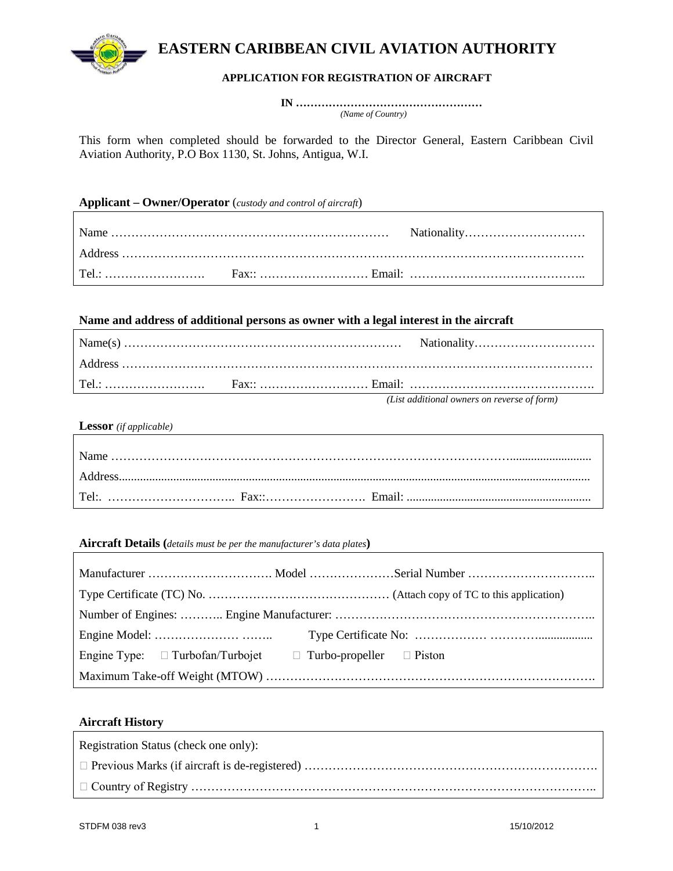

## **APPLICATION FOR REGISTRATION OF AIRCRAFT**

 **IN ……………………………………………** *(Name of Country)*

This form when completed should be forwarded to the Director General, Eastern Caribbean Civil Aviation Authority, P.O Box 1130, St. Johns, Antigua, W.I.

### **Applicant – Owner/Operator** (*custody and control of aircraft*)

## **Name and address of additional persons as owner with a legal interest in the aircraft**

|  | (List additional owners on reverse of form) |
|--|---------------------------------------------|

*(List additional owners on reverse of form)*

**Lessor** *(if applicable)*

**Aircraft Details (***details must be per the manufacturer's data plates***)**

| Engine Type: $\Box$ Turbofan/Turbojet $\Box$ Turbo-propeller $\Box$ Piston |  |
|----------------------------------------------------------------------------|--|
|                                                                            |  |

## **Aircraft History**

| Registration Status (check one only): |
|---------------------------------------|
|                                       |
|                                       |